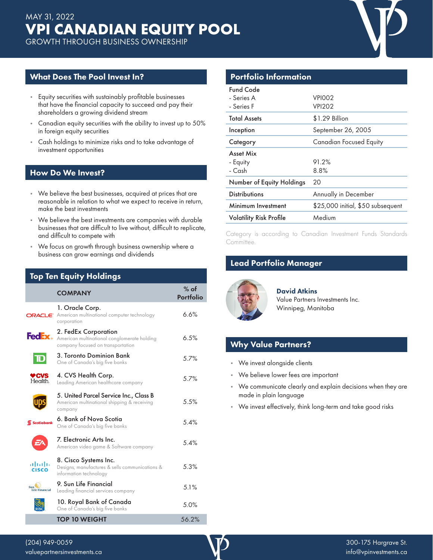What Does The Pool Invest In?

- Equity securities with sustainably profitable businesses that have the financial capacity to succeed and pay their shareholders a growing dividend stream
- Canadian equity securities with the ability to invest up to 50% in foreign equity securities
- Cash holdings to minimize risks and to take advantage of investment opportunities

#### How Do We Invest?

- We believe the best businesses, acquired at prices that are reasonable in relation to what we expect to receive in return, make the best investments
- We believe the best investments are companies with durable businesses that are difficult to live without, difficult to replicate, and difficult to compete with
- We focus on growth through business ownership where a business can grow earnings and dividends

### Top Ten Equity Holdings

|                       | <b>COMPANY</b>                                                                                           | $%$ of<br><b>Portfolio</b> |
|-----------------------|----------------------------------------------------------------------------------------------------------|----------------------------|
| <b>DRACLE</b>         | 1. Oracle Corp.<br>American multinational computer technology<br>corporation                             | 6.6%                       |
| FedEx.                | 2. FedEx Corporation<br>American multinational conglomerate holding<br>company focused on transportation | 6.5%                       |
| $\mathbf T$           | 3. Toronto Dominion Bank<br>One of Canada's big five banks                                               | 5.7%                       |
| ♥CVS<br>Health.       | 4. CVS Health Corp.<br>Leading American healthcare company                                               | 5.7%                       |
|                       | 5. United Parcel Service Inc., Class B<br>American multinational shipping & receiving<br>company         | 5.5%                       |
| <b>Scotiabank</b>     | 6. Bank of Nova Scotia<br>One of Canada's big five banks                                                 | 5.4%                       |
|                       | 7. Electronic Arts Inc.<br>American video game & Software company                                        | 5.4%                       |
| ախվա<br><b>CISCO</b>  | 8. Cisco Systems Inc.<br>Designs, manufactures & sells communications &<br>information technology        | 5.3%                       |
| Sun<br>Life Financial | 9. Sun Life Financial<br>Leading financial services company                                              | 5.1%                       |
|                       | 10. Royal Bank of Canada<br>One of Canada's big five banks                                               | 5.0%                       |
|                       | <b>TOP 10 WEIGHT</b>                                                                                     | 56.2%                      |

### Portfolio Information

| <b>Fund Code</b><br>- Series A<br>- Series F | VPIOO <sub>2</sub><br><b>VPI202</b> |
|----------------------------------------------|-------------------------------------|
| <b>Total Assets</b>                          | \$1.29 Billion                      |
| Inception                                    | September 26, 2005                  |
| Category                                     | <b>Canadian Focused Equity</b>      |
| Asset Mix                                    |                                     |
| - Equity                                     | 91.2%                               |
| - Cash                                       | 8.8%                                |
| Number of Equity Holdings                    | 20                                  |
| <b>Distributions</b>                         | Annually in December                |
| Minimum Investment                           | \$25,000 initial, \$50 subsequent   |
| <b>Volatility Risk Profile</b>               | Medium                              |

Category is according to Canadian Investment Funds Standards Committee.

## Lead Portfolio Manager



David Atkins Value Partners Investments Inc. Winnipeg, Manitoba

## Why Value Partners?

- We invest alongside clients
- We believe lower fees are important
- We communicate clearly and explain decisions when they are made in plain language
- We invest effectively, think long-term and take good risks